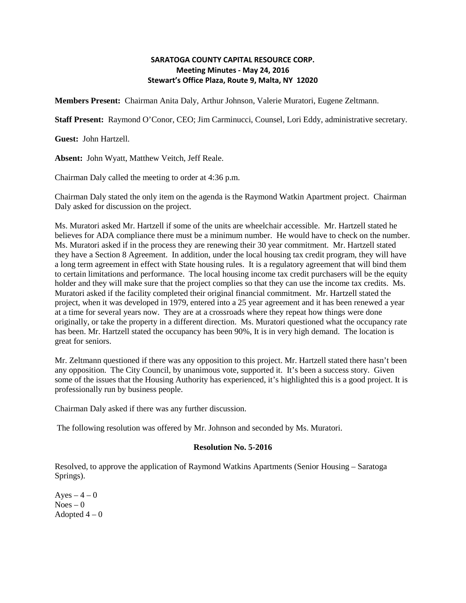## **SARATOGA COUNTY CAPITAL RESOURCE CORP. Meeting Minutes - May 24, 2016 Stewart's Office Plaza, Route 9, Malta, NY 12020**

**Members Present:** Chairman Anita Daly, Arthur Johnson, Valerie Muratori, Eugene Zeltmann.

**Staff Present:** Raymond O'Conor, CEO; Jim Carminucci, Counsel, Lori Eddy, administrative secretary.

**Guest:** John Hartzell.

**Absent:** John Wyatt, Matthew Veitch, Jeff Reale.

Chairman Daly called the meeting to order at 4:36 p.m.

Chairman Daly stated the only item on the agenda is the Raymond Watkin Apartment project. Chairman Daly asked for discussion on the project.

Ms. Muratori asked Mr. Hartzell if some of the units are wheelchair accessible. Mr. Hartzell stated he believes for ADA compliance there must be a minimum number. He would have to check on the number. Ms. Muratori asked if in the process they are renewing their 30 year commitment. Mr. Hartzell stated they have a Section 8 Agreement. In addition, under the local housing tax credit program, they will have a long term agreement in effect with State housing rules. It is a regulatory agreement that will bind them to certain limitations and performance. The local housing income tax credit purchasers will be the equity holder and they will make sure that the project complies so that they can use the income tax credits. Ms. Muratori asked if the facility completed their original financial commitment. Mr. Hartzell stated the project, when it was developed in 1979, entered into a 25 year agreement and it has been renewed a year at a time for several years now. They are at a crossroads where they repeat how things were done originally, or take the property in a different direction. Ms. Muratori questioned what the occupancy rate has been. Mr. Hartzell stated the occupancy has been 90%, It is in very high demand. The location is great for seniors.

Mr. Zeltmann questioned if there was any opposition to this project. Mr. Hartzell stated there hasn't been any opposition. The City Council, by unanimous vote, supported it. It's been a success story. Given some of the issues that the Housing Authority has experienced, it's highlighted this is a good project. It is professionally run by business people.

Chairman Daly asked if there was any further discussion.

The following resolution was offered by Mr. Johnson and seconded by Ms. Muratori.

## **Resolution No. 5-2016**

Resolved, to approve the application of Raymond Watkins Apartments (Senior Housing – Saratoga Springs).

Ayes  $-4-0$  $Noes - 0$ Adopted  $4-0$